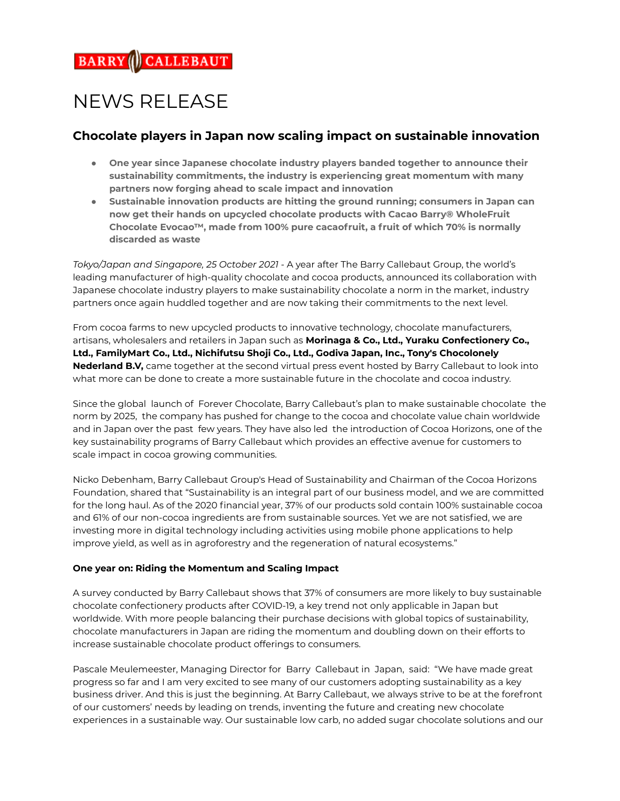# NEWS RELEASE

# **Chocolate players in Japan now scaling impact on sustainable innovation**

- **● One year since Japanese chocolate industry players banded together to announce their sustainability commitments, the industry is experiencing great momentum with many partners now forging ahead to scale impact and innovation**
- **● Sustainable innovation products are hitting the ground running; consumers in Japan can now get their hands on upcycled chocolate products with Cacao Barry® WholeFruit Chocolate Evocao™, made from 100% pure cacaofruit, a fruit of which 70% is normally discarded as waste**

*Tokyo/Japan and Singapore, 25 October 2021 -* A year after The Barry Callebaut Group, the world's leading manufacturer of high-quality chocolate and cocoa products, announced its collaboration with Japanese chocolate industry players to make sustainability chocolate a norm in the market, industry partners once again huddled together and are now taking their commitments to the next level.

From cocoa farms to new upcycled products to innovative technology, chocolate manufacturers, artisans, wholesalers and retailers in Japan such as **Morinaga & Co., Ltd., Yuraku Confectionery Co., Ltd., FamilyMart Co., Ltd., Nichifutsu Shoji Co., Ltd., Godiva Japan, Inc., Tony's Chocolonely Nederland B.V,** came together at the second virtual press event hosted by Barry Callebaut to look into what more can be done to create a more sustainable future in the chocolate and cocoa industry.

Since the global launch of Forever Chocolate, Barry Callebaut's plan to make sustainable chocolate the norm by 2025, the company has pushed for change to the cocoa and chocolate value chain worldwide and in Japan over the past few years. They have also led the introduction of Cocoa Horizons, one of the key sustainability programs of Barry Callebaut which provides an effective avenue for customers to scale impact in cocoa growing communities.

Nicko Debenham, Barry Callebaut Group's Head of Sustainability and Chairman of the Cocoa Horizons Foundation, shared that "Sustainability is an integral part of our business model, and we are committed for the long haul. As of the 2020 financial year, 37% of our products sold contain 100% sustainable cocoa and 61% of our non-cocoa ingredients are from sustainable sources. Yet we are not satisfied, we are investing more in digital technology including activities using mobile phone applications to help improve yield, as well as in agroforestry and the regeneration of natural ecosystems."

# **One year on: Riding the Momentum and Scaling Impact**

A survey conducted by Barry Callebaut shows that 37% of consumers are more likely to buy sustainable chocolate confectionery products after COVID-19, a key trend not only applicable in Japan but worldwide. With more people balancing their purchase decisions with global topics of sustainability, chocolate manufacturers in Japan are riding the momentum and doubling down on their efforts to increase sustainable chocolate product offerings to consumers.

Pascale Meulemeester, Managing Director for Barry Callebaut in Japan, said: "We have made great progress so far and I am very excited to see many of our customers adopting sustainability as a key business driver. And this is just the beginning. At Barry Callebaut, we always strive to be at the forefront of our customers' needs by leading on trends, inventing the future and creating new chocolate experiences in a sustainable way. Our sustainable low carb, no added sugar chocolate solutions and our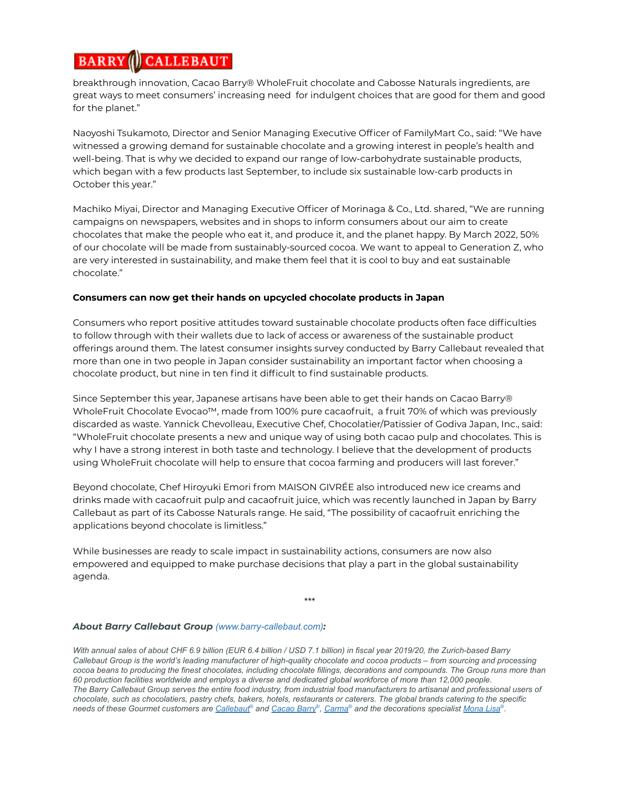#### **BARRY CALLEBAUT**

breakthrough innovation, Cacao Barry® WholeFruit chocolate and Cabosse Naturals ingredients, are great ways to meet consumers' increasing need for indulgent choices that are good for them and good for the planet."

Naoyoshi Tsukamoto, Director and Senior Managing Executive Officer of FamilyMart Co., said: "We have witnessed a growing demand for sustainable chocolate and a growing interest in people's health and well-being. That is why we decided to expand our range of low-carbohydrate sustainable products, which began with a few products last September, to include six sustainable low-carb products in October this year."

Machiko Miyai, Director and Managing Executive Officer of Morinaga & Co., Ltd. shared, "We are running campaigns on newspapers, websites and in shops to inform consumers about our aim to create chocolates that make the people who eat it, and produce it, and the planet happy. By March 2022, 50% of our chocolate will be made from sustainably-sourced cocoa. We want to appeal to Generation Z, who are very interested in sustainability, and make them feel that it is cool to buy and eat sustainable chocolate."

### **Consumers can now get their hands on upcycled chocolate products in Japan**

Consumers who report positive attitudes toward sustainable chocolate products often face difficulties to follow through with their wallets due to lack of access or awareness of the sustainable product offerings around them. The latest consumer insights survey conducted by Barry Callebaut revealed that more than one in two people in Japan consider sustainability an important factor when choosing a chocolate product, but nine in ten find it difficult to find sustainable products.

Since September this year, Japanese artisans have been able to get their hands on Cacao Barry® WholeFruit Chocolate Evocao™, made from 100% pure cacaofruit, a fruit 70% of which was previously discarded as waste. Yannick Chevolleau, Executive Chef, Chocolatier/Patissier of Godiva Japan, Inc., said: "WholeFruit chocolate presents a new and unique way of using both cacao pulp and chocolates. This is why I have a strong interest in both taste and technology. I believe that the development of products using WholeFruit chocolate will help to ensure that cocoa farming and producers will last forever."

Beyond chocolate, Chef Hiroyuki Emori from [MAISON](https://givree.tokyo/) GIVRÉE also introduced new ice creams and drinks made with cacaofruit pulp and cacaofruit juice, which was recently launched in Japan by Barry Callebaut as part of its Cabosse Naturals range. He said, "The possibility of cacaofruit enriching the applications beyond chocolate is limitless."

While businesses are ready to scale impact in sustainability actions, consumers are now also empowered and equipped to make purchase decisions that play a part in the global sustainability agenda.

\*\*\*

# *About Barry Callebaut Group ([www.barry-callebaut.com](https://www.barry-callebaut.com/en/group)):*

With annual sales of about CHF 6.9 billion (EUR 6.4 billion / USD 7.1 billion) in fiscal year 2019/20, the Zurich-based Barry Callebaut Group is the world's leading manufacturer of high-quality chocolate and cocoa products - from sourcing and processing cocoa beans to producing the finest chocolates, including chocolate fillings, decorations and compounds. The Group runs more than 60 production facilities worldwide and employs a diverse and dedicated global workforce of more than 12,000 people. The Barry Callebaut Group serves the entire food industry, from industrial food manufacturers to artisanal and professional users of chocolate, such as chocolatiers, pastry chefs, bakers, hotels, restaurants or caterers. The global brands catering to the specific needs of these Gourmet customers are <u>[Callebaut](https://www.callebaut.com/en-OC/homepage)®</u> and <u>[Cacao](https://www.cacao-barry.com/en-OC) Barry®, [Carma](https://www.barry-callebaut.com/en/artisans/carma)</u>® and the decorations specialist <u>[Mona](https://www.barry-callebaut.com/en/artisans/mona-lisa) Lisa</u>®.